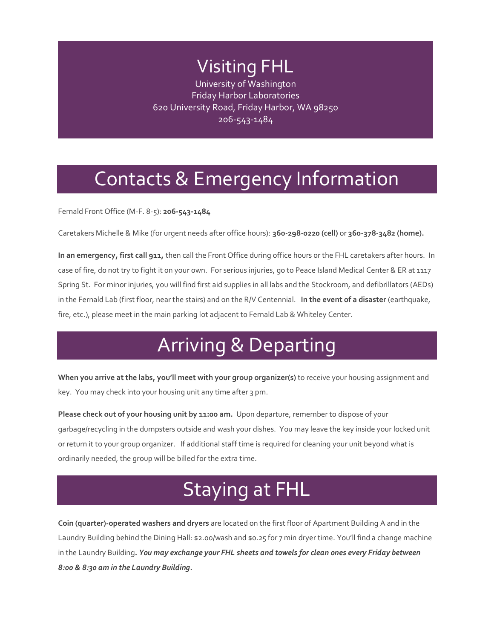## Visiting FHL

University of Washington Friday Harbor Laboratories 620 University Road, Friday Harbor, WA 98250 206-543-1484

## Contacts & Emergency Information

Fernald Front Office (M-F. 8-5): **206-543-1484**

Caretakers Michelle & Mike (for urgent needs after office hours): **360-298-0220 (cell)** or **360-378-3482 (home).**

**In an emergency, first call 911,** then call the Front Office during office hours or the FHL caretakers after hours. In case of fire, do not try to fight it on your own. For serious injuries, go to Peace Island Medical Center & ER at 1117 Spring St. For minor injuries, you will find first aid supplies in all labs and the Stockroom, and defibrillators (AEDs) in the Fernald Lab (first floor, near the stairs) and on the R/V Centennial. **In the event of a disaster** (earthquake, fire, etc.), please meet in the main parking lot adjacent to Fernald Lab & Whiteley Center.

## Arriving & Departing

**When you arrive at the labs, you'll meet with your group organizer(s)** to receive your housing assignment and key. You may check into your housing unit any time after 3 pm.

**Please check out of your housing unit by 11:00 am.** Upon departure, remember to dispose of your garbage/recycling in the dumpsters outside and wash your dishes. You may leave the key inside your locked unit or return it to your group organizer. If additional staff time is required for cleaning your unit beyond what is ordinarily needed, the group will be billed for the extra time.

## Staying at FHL

**Coin (quarter)-operated washers and dryers** are located on the first floor of Apartment Building A and in the Laundry Building behind the Dining Hall: \$2.00/wash and \$0.25 for 7 min dryer time. You'll find a change machine in the Laundry Building**.** *You may exchange your FHL sheets and towels for clean ones every Friday between 8:00 & 8:30 am in the Laundry Building.*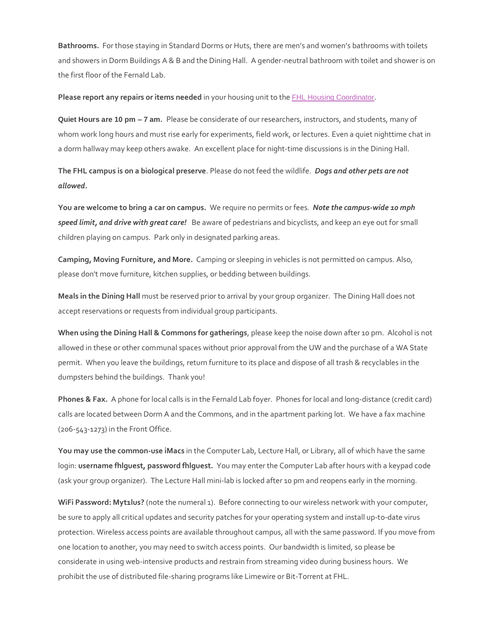**Bathrooms.** For those staying in Standard Dorms or Huts, there are men's and women's bathrooms with toilets and showers in Dorm Buildings A & B and the Dining Hall. A gender-neutral bathroom with toilet and shower is on the first floor of the Fernald Lab.

**Please report any repairs or items needed** in your housing unit to the [FHL Housing Coordinator](mailto:fhlfac@uw.edu).

**Quiet Hours are 10 pm – 7 am.** Please be considerate of our researchers, instructors, and students, many of whom work long hours and must rise early for experiments, field work, or lectures. Even a quiet nighttime chat in a dorm hallway may keep others awake. An excellent place for night-time discussions is in the Dining Hall.

**The FHL campus is on a biological preserve**. Please do not feed the wildlife. *Dogs and other pets are not allowed.*

**You are welcome to bring a car on campus.** We require no permits or fees*. Note the campus-wide 10 mph speed limit, and drive with great care!* Be aware of pedestrians and bicyclists, and keep an eye out for small children playing on campus. Park only in designated parking areas.

**Camping, Moving Furniture, and More.** Camping or sleeping in vehicles is not permitted on campus. Also, please don't move furniture, kitchen supplies, or bedding between buildings.

**Meals in the Dining Hall** must be reserved prior to arrival by your group organizer. The Dining Hall does not accept reservations or requests from individual group participants.

**When using the Dining Hall & Commons for gatherings**, please keep the noise down after 10 pm. Alcohol is not allowed in these or other communal spaces without prior approval from the UW and the purchase of a WA State permit. When you leave the buildings, return furniture to its place and dispose of all trash & recyclables in the dumpsters behind the buildings. Thank you!

**Phones & Fax.** A phone for local calls is in the Fernald Lab foyer. Phones for local and long-distance (credit card) calls are located between Dorm A and the Commons, and in the apartment parking lot. We have a fax machine (206-543-1273) in the Front Office.

**You may use the common-use iMacs** in the Computer Lab, Lecture Hall, or Library, all of which have the same login: **username fhlguest, password fhlguest.** You may enter the Computer Lab after hours with a keypad code (ask your group organizer). The Lecture Hall mini-lab is locked after 10 pm and reopens early in the morning.

**WiFi Password: Myt1lus?** (note the numeral 1). Before connecting to our wireless network with your computer, be sure to apply all critical updates and security patches for your operating system and install up-to-date virus protection. Wireless access points are available throughout campus, all with the same password. If you move from one location to another, you may need to switch access points. Our bandwidth is limited, so please be considerate in using web-intensive products and restrain from streaming video during business hours. We prohibit the use of distributed file-sharing programs like Limewire or Bit-Torrent at FHL.